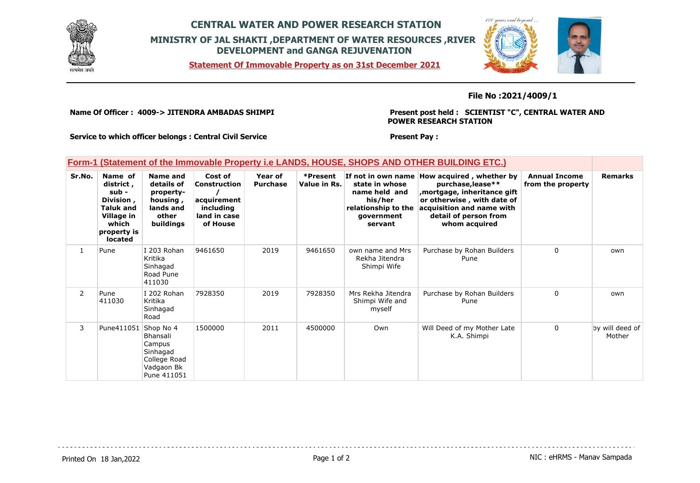

# **CENTRAL WATER AND POWER RESEARCH STATION MINISTRY OF JAL SHAKTI ,DEPARTMENT OF WATER RESOURCES ,RIVER DEVELOPMENT and GANGA REJUVENATION**

**Statement Of Immovable Property as on 31st December 2021**



### **File No :2021/4009/1**

**Name Of Officer : 4009-> JITENDRA AMBADAS SHIMPI** 

**Present post held : SCIENTIST "C", CENTRAL WATER AND POWER RESEARCH STATION**

**Service to which officer belongs : Central Civil Service**

#### **Present Pay :**

### **Form-1 (Statement of the Immovable Property i.e LANDS, HOUSE, SHOPS AND OTHER BUILDING ETC.)**

| Sr.No.         | Name of<br>district,<br>sub -<br>Division,<br><b>Taluk and</b><br>Village in<br>which<br>property is<br><b>located</b> | Name and<br>details of<br>property-<br>housing,<br>lands and<br>other<br>buildings              | Cost of<br>Construction<br>acquirement<br>including<br>land in case<br>of House | Year of<br><b>Purchase</b> | *Present<br>Value in Rs. | If not in own name<br>state in whose<br>name held and<br>his/her<br>relationship to the<br>government<br>servant | How acquired, whether by<br>purchase, lease**<br>, mortgage, inheritance gift<br>or otherwise, with date of<br>acquisition and name with<br>detail of person from<br>whom acquired | <b>Annual Income</b><br>from the property | <b>Remarks</b>            |
|----------------|------------------------------------------------------------------------------------------------------------------------|-------------------------------------------------------------------------------------------------|---------------------------------------------------------------------------------|----------------------------|--------------------------|------------------------------------------------------------------------------------------------------------------|------------------------------------------------------------------------------------------------------------------------------------------------------------------------------------|-------------------------------------------|---------------------------|
| 1              | Pune                                                                                                                   | I 203 Rohan<br>Kritika<br>Sinhagad<br>Road Pune<br>411030                                       | 9461650                                                                         | 2019                       | 9461650                  | own name and Mrs<br>Rekha Jitendra<br>Shimpi Wife                                                                | Purchase by Rohan Builders<br>Pune                                                                                                                                                 | $\Omega$                                  | own                       |
| $\overline{2}$ | Pune<br>411030                                                                                                         | I 202 Rohan<br>Kritika<br>Sinhagad<br>Road                                                      | 7928350                                                                         | 2019                       | 7928350                  | Mrs Rekha Jitendra<br>Shimpi Wife and<br>myself                                                                  | Purchase by Rohan Builders<br>Pune                                                                                                                                                 | $\Omega$                                  | own                       |
| 3              | Pune411051                                                                                                             | Shop No 4<br><b>Bhansali</b><br>Campus<br>Sinhagad<br>College Road<br>Vadgaon Bk<br>Pune 411051 | 1500000                                                                         | 2011                       | 4500000                  | Own                                                                                                              | Will Deed of my Mother Late<br>K.A. Shimpi                                                                                                                                         | $\Omega$                                  | by will deed of<br>Mother |